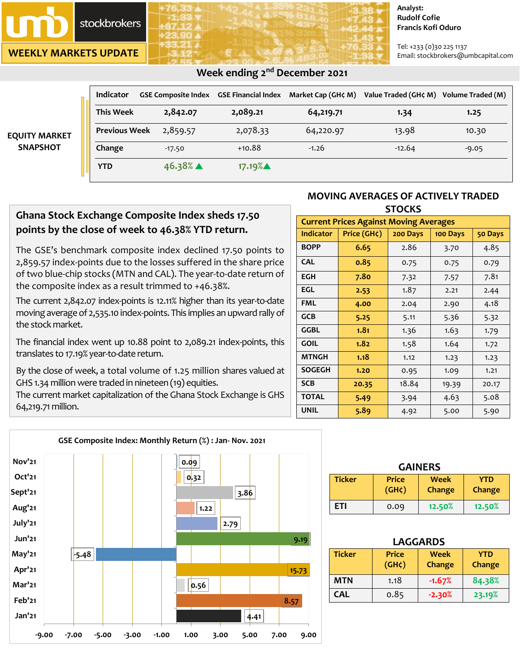

**WEEKLY MARKETS UPDATE**

#### **Analyst: Rudolf Cofie Francis Kofi Oduro**

Tel: +233 (0)30 225 1137 Email: stockbrokers@umbcapital.com

|                                         | Indicator            | GSE Composite Index GSE Financial Index |          | Market Cap (GH¢ M) | Value Traded (GH¢ M) Volume Traded (M) |         |
|-----------------------------------------|----------------------|-----------------------------------------|----------|--------------------|----------------------------------------|---------|
| <b>EQUITY MARKET</b><br><b>SNAPSHOT</b> | <b>This Week</b>     | 2,842.07                                | 2,089.21 | 64,219.71          | 1.34                                   | 1.25    |
|                                         | <b>Previous Week</b> | 2,859.57                                | 2,078.33 | 64,220.97          | 13.98                                  | 10.30   |
|                                         | Change               | $-17.50$                                | $+10.88$ | $-1.26$            | $-12.64$                               | $-9.05$ |
|                                         | <b>YTD</b>           | $46.38\%$ $\triangle$                   | 17.19%▲  |                    |                                        |         |

# *<b>Week ending 2<sup>nd</sup> December 2021 Week ending 2<sup>nd</sup> December 2021*

# **Ghana Stock Exchange Composite Index sheds 17.50 points by the close of week to 46.38% YTD return.**

The GSE's benchmark composite index declined 17.50 points to 2,859.57 index-points due to the losses suffered in the share price of two blue-chip stocks (MTN and CAL). The year-to-date return of the composite index as a result trimmed to +46.38%.

The current 2,842.07 index-points is 12.11% higher than its year-to-date moving average of 2,535.10 index-points. This implies an upward rallyof the stock market.

The financial index went up 10.88 point to 2,089.21 index-points, this translates to 17.19% year-to-date return.

By the close of week, a total volume of 1.25 million shares valued at GHS 1.34 million were traded in nineteen (19) equities.

The current market capitalization of the Ghana Stock Exchange is GHS 64,219.71 million.



| <b>Current Prices Against Moving Averages</b> |             |          |          |         |  |  |
|-----------------------------------------------|-------------|----------|----------|---------|--|--|
| <b>Indicator</b>                              | Price (GH¢) | 200 Days | 100 Days | 50 Days |  |  |
| <b>BOPP</b>                                   | 6.65        | 2.86     | 3.70     | 4.85    |  |  |
| <b>CAL</b>                                    | 0.85        | 0.75     | 0.75     | 0.79    |  |  |
| <b>EGH</b>                                    | 7.80        | 7.32     | 7.57     | 7.81    |  |  |
| EGL                                           | 2.53        | 1.87     | 2.21     | 2.44    |  |  |
| <b>FML</b>                                    | 4.00        | 2.04     | 2.90     | 4.18    |  |  |
| <b>GCB</b>                                    | 5.25        | 5.11     | 5.36     | 5.32    |  |  |
| GGBL                                          | 1.81        | 1.36     | 1.63     | 1.79    |  |  |
| <b>GOIL</b>                                   | 1.82        | 1.58     | 1.64     | 1.72    |  |  |
| <b>MTNGH</b>                                  | 1.18        | 1.12     | 1.23     | 1.23    |  |  |
| <b>SOGEGH</b>                                 | 1.20        | 0.95     | 1.09     | 1.21    |  |  |
| <b>SCB</b>                                    | 20.35       | 18.84    | 19.39    | 20.17   |  |  |
| <b>TOTAL</b>                                  | 5.49        | 3.94     | 4.63     | 5.08    |  |  |
| <b>UNIL</b>                                   | 5.89        | 4.92     | 5.00     | 5.90    |  |  |



| <b>GAINERS</b> |                                    |                |                      |  |
|----------------|------------------------------------|----------------|----------------------|--|
| <b>Ticker</b>  | <b>Price</b><br>(GH <sub>¢</sub> ) | Week<br>Change | <b>YTD</b><br>Change |  |
| <b>ETI</b>     | 0.09                               | 12.50%         | 12.50%               |  |

| <b>LAGGARDS</b>                                                                                      |      |          |        |  |  |
|------------------------------------------------------------------------------------------------------|------|----------|--------|--|--|
| <b>Ticker</b><br><b>Price</b><br><b>Week</b><br><b>YTD</b><br>(GH <sub>c</sub> )<br>Change<br>Change |      |          |        |  |  |
| MTN                                                                                                  | 1.18 | $-1.67%$ | 84.38% |  |  |
| <b>CAL</b>                                                                                           | 0.85 | $-2.30%$ | 23.19% |  |  |